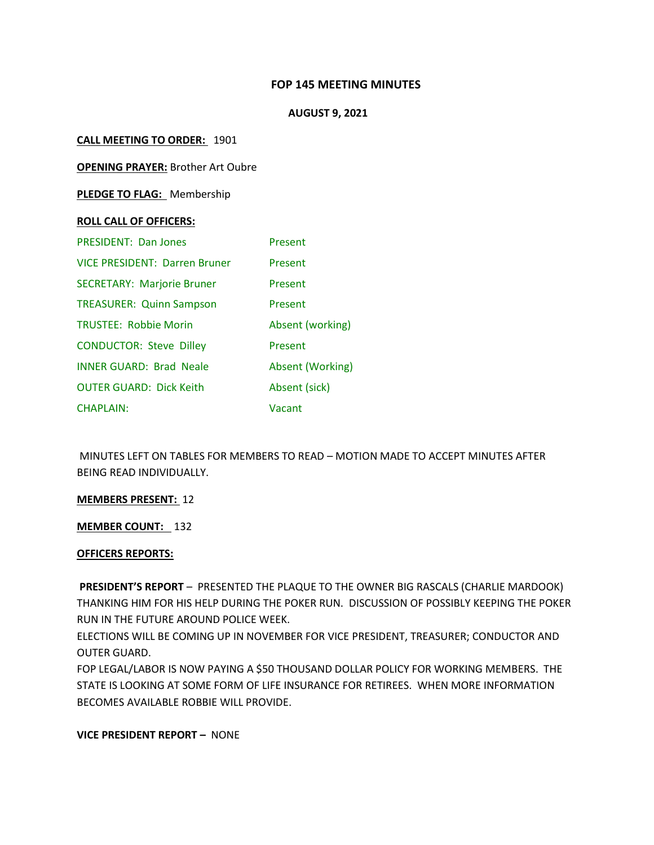# **FOP 145 MEETING MINUTES**

### **AUGUST 9, 2021**

### **CALL MEETING TO ORDER:** 1901

**OPENING PRAYER:** Brother Art Oubre

**PLEDGE TO FLAG:** Membership

#### **ROLL CALL OF OFFICERS:**

| <b>PRESIDENT: Dan Jones</b>          | Present          |
|--------------------------------------|------------------|
| <b>VICE PRESIDENT: Darren Bruner</b> | Present          |
| <b>SECRETARY: Marjorie Bruner</b>    | Present          |
| <b>TREASURER: Quinn Sampson</b>      | Present          |
| <b>TRUSTEE: Robbie Morin</b>         | Absent (working) |
| <b>CONDUCTOR: Steve Dilley</b>       | Present          |
| <b>INNER GUARD: Brad Neale</b>       | Absent (Working) |
| <b>OUTER GUARD: Dick Keith</b>       | Absent (sick)    |
| <b>CHAPLAIN:</b>                     | Vacant           |

MINUTES LEFT ON TABLES FOR MEMBERS TO READ – MOTION MADE TO ACCEPT MINUTES AFTER BEING READ INDIVIDUALLY.

#### **MEMBERS PRESENT:** 12

**MEMBER COUNT:** 132

# **OFFICERS REPORTS:**

**PRESIDENT'S REPORT** – PRESENTED THE PLAQUE TO THE OWNER BIG RASCALS (CHARLIE MARDOOK) THANKING HIM FOR HIS HELP DURING THE POKER RUN. DISCUSSION OF POSSIBLY KEEPING THE POKER RUN IN THE FUTURE AROUND POLICE WEEK.

ELECTIONS WILL BE COMING UP IN NOVEMBER FOR VICE PRESIDENT, TREASURER; CONDUCTOR AND OUTER GUARD.

FOP LEGAL/LABOR IS NOW PAYING A \$50 THOUSAND DOLLAR POLICY FOR WORKING MEMBERS. THE STATE IS LOOKING AT SOME FORM OF LIFE INSURANCE FOR RETIREES. WHEN MORE INFORMATION BECOMES AVAILABLE ROBBIE WILL PROVIDE.

**VICE PRESIDENT REPORT –** NONE